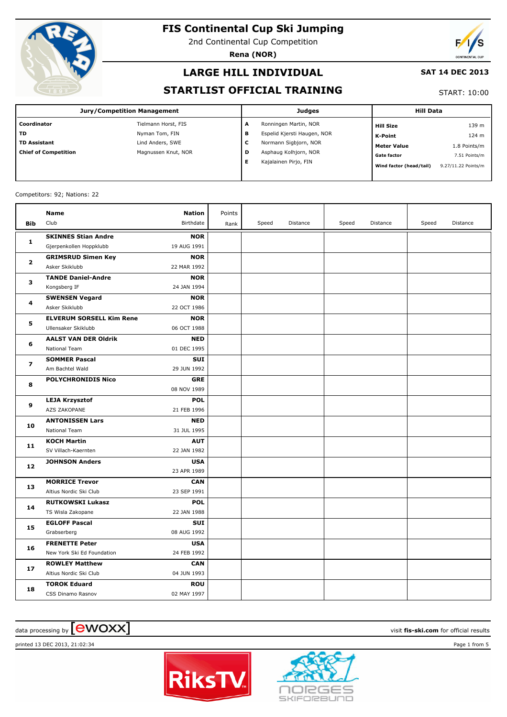

2nd Continental Cup Competition

**Rena (NOR)**



## **LARGE HILL INDIVIDUAL**

#### **SAT 14 DEC 2013**

### **STARTLIST OFFICIAL TRAINING**

START: 10:00

| Jury/Competition Management |                     |   | <b>Judges</b>               | <b>Hill Data</b>        |                     |  |
|-----------------------------|---------------------|---|-----------------------------|-------------------------|---------------------|--|
| Coordinator                 | Tielmann Horst, FIS | A | Ronningen Martin, NOR       | <b>Hill Size</b>        | 139 m               |  |
| l TD                        | Nyman Tom, FIN      | в | Espelid Kjersti Haugen, NOR | K-Point                 | 124 m               |  |
| TD Assistant                | Lind Anders, SWE    | c | Normann Sigbjorn, NOR       | <b>Meter Value</b>      | 1.8 Points/m        |  |
| Chief of Competition        | Magnussen Knut, NOR | D | Asphaug Kolhjorn, NOR       | <b>Gate factor</b>      | 7.51 Points/m       |  |
|                             |                     | Е | Kajalainen Pirjo, FIN       | Wind factor (head/tail) | 9.27/11.22 Points/m |  |

#### Competitors: 92; Nations: 22

|                | Name                            | <b>Nation</b> | Points |       |          |       |          |       |          |
|----------------|---------------------------------|---------------|--------|-------|----------|-------|----------|-------|----------|
| <b>Bib</b>     | Club                            | Birthdate     | Rank   | Speed | Distance | Speed | Distance | Speed | Distance |
| 1              | <b>SKINNES Stian Andre</b>      | <b>NOR</b>    |        |       |          |       |          |       |          |
|                | Gjerpenkollen Hoppklubb         | 19 AUG 1991   |        |       |          |       |          |       |          |
| $\overline{2}$ | <b>GRIMSRUD Simen Key</b>       | <b>NOR</b>    |        |       |          |       |          |       |          |
|                | Asker Skiklubb                  | 22 MAR 1992   |        |       |          |       |          |       |          |
|                | <b>TANDE Daniel-Andre</b>       | <b>NOR</b>    |        |       |          |       |          |       |          |
| з              | Kongsberg IF                    | 24 JAN 1994   |        |       |          |       |          |       |          |
| 4              | <b>SWENSEN Vegard</b>           | <b>NOR</b>    |        |       |          |       |          |       |          |
|                | Asker Skiklubb                  | 22 OCT 1986   |        |       |          |       |          |       |          |
| 5              | <b>ELVERUM SORSELL Kim Rene</b> | <b>NOR</b>    |        |       |          |       |          |       |          |
|                | Ullensaker Skiklubb             | 06 OCT 1988   |        |       |          |       |          |       |          |
| 6              | <b>AALST VAN DER Oldrik</b>     | <b>NED</b>    |        |       |          |       |          |       |          |
|                | National Team                   | 01 DEC 1995   |        |       |          |       |          |       |          |
| $\overline{ }$ | <b>SOMMER Pascal</b>            | <b>SUI</b>    |        |       |          |       |          |       |          |
|                | Am Bachtel Wald                 | 29 JUN 1992   |        |       |          |       |          |       |          |
| 8              | <b>POLYCHRONIDIS Nico</b>       | <b>GRE</b>    |        |       |          |       |          |       |          |
|                |                                 | 08 NOV 1989   |        |       |          |       |          |       |          |
| 9              | <b>LEJA Krzysztof</b>           | <b>POL</b>    |        |       |          |       |          |       |          |
|                | AZS ZAKOPANE                    | 21 FEB 1996   |        |       |          |       |          |       |          |
| 10             | <b>ANTONISSEN Lars</b>          | <b>NED</b>    |        |       |          |       |          |       |          |
|                | National Team                   | 31 JUL 1995   |        |       |          |       |          |       |          |
| 11             | <b>KOCH Martin</b>              | <b>AUT</b>    |        |       |          |       |          |       |          |
|                | SV Villach-Kaernten             | 22 JAN 1982   |        |       |          |       |          |       |          |
| 12             | <b>JOHNSON Anders</b>           | <b>USA</b>    |        |       |          |       |          |       |          |
|                |                                 | 23 APR 1989   |        |       |          |       |          |       |          |
| 13             | <b>MORRICE Trevor</b>           | CAN           |        |       |          |       |          |       |          |
|                | Altius Nordic Ski Club          | 23 SEP 1991   |        |       |          |       |          |       |          |
| 14             | <b>RUTKOWSKI Lukasz</b>         | <b>POL</b>    |        |       |          |       |          |       |          |
|                | TS Wisla Zakopane               | 22 JAN 1988   |        |       |          |       |          |       |          |
| 15             | <b>EGLOFF Pascal</b>            | <b>SUI</b>    |        |       |          |       |          |       |          |
|                | Grabserberg                     | 08 AUG 1992   |        |       |          |       |          |       |          |
| 16             | <b>FRENETTE Peter</b>           | <b>USA</b>    |        |       |          |       |          |       |          |
|                | New York Ski Ed Foundation      | 24 FEB 1992   |        |       |          |       |          |       |          |
| 17             | <b>ROWLEY Matthew</b>           | CAN           |        |       |          |       |          |       |          |
|                | Altius Nordic Ski Club          | 04 JUN 1993   |        |       |          |       |          |       |          |
| 18             | <b>TOROK Eduard</b>             | <b>ROU</b>    |        |       |          |       |          |       |          |
|                | CSS Dinamo Rasnov               | 02 MAY 1997   |        |       |          |       |          |       |          |

# $\alpha$  data processing by  $\boxed{\text{ewOX}}$

printed 13 DEC 2013, 21:02:34 Page 1 from 5



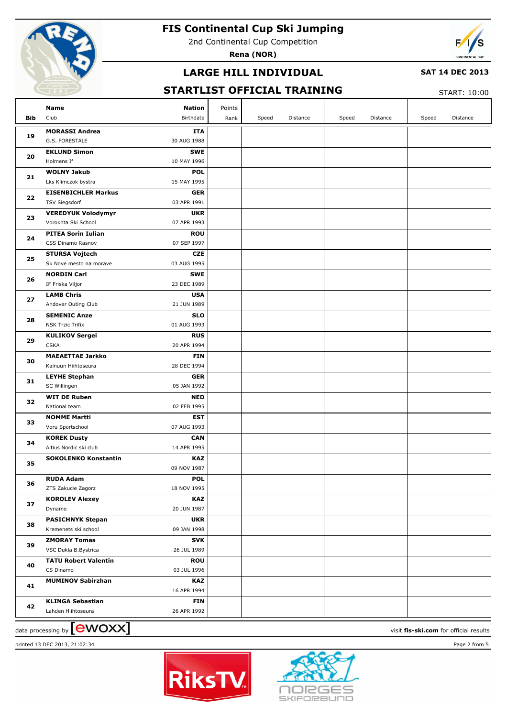

2nd Continental Cup Competition

**Rena (NOR)**



## **LARGE HILL INDIVIDUAL**

#### **SAT 14 DEC 2013**

## **STARTLIST OFFICIAL TRAINING**

START: 10:00

| Bib | Name<br><b>Nation</b><br>Club<br>Birthdate          | Points<br>Rank | Speed | Distance | Speed | Distance | Speed | Distance |
|-----|-----------------------------------------------------|----------------|-------|----------|-------|----------|-------|----------|
|     | <b>MORASSI Andrea</b>                               | <b>ITA</b>     |       |          |       |          |       |          |
| 19  | G.S. FORESTALE<br>30 AUG 1988                       |                |       |          |       |          |       |          |
|     | <b>EKLUND Simon</b>                                 | <b>SWE</b>     |       |          |       |          |       |          |
| 20  | Holmens If<br>10 MAY 1996                           |                |       |          |       |          |       |          |
|     | <b>WOLNY Jakub</b>                                  | <b>POL</b>     |       |          |       |          |       |          |
| 21  | Lks Klimczok bystra<br>15 MAY 1995                  |                |       |          |       |          |       |          |
|     | <b>EISENBICHLER Markus</b>                          | <b>GER</b>     |       |          |       |          |       |          |
| 22  | 03 APR 1991<br><b>TSV Siegsdorf</b>                 |                |       |          |       |          |       |          |
| 23  | <b>VEREDYUK Volodymyr</b>                           | <b>UKR</b>     |       |          |       |          |       |          |
|     | 07 APR 1993<br>Vorokhta Ski School                  |                |       |          |       |          |       |          |
| 24  | <b>PITEA Sorin Iulian</b>                           | <b>ROU</b>     |       |          |       |          |       |          |
|     | CSS Dinamo Rasnov<br>07 SEP 1997                    |                |       |          |       |          |       |          |
| 25  | <b>STURSA Vojtech</b>                               | <b>CZE</b>     |       |          |       |          |       |          |
|     | 03 AUG 1995<br>Sk Nove mesto na morave              |                |       |          |       |          |       |          |
| 26  | <b>NORDIN Carl</b>                                  | <b>SWE</b>     |       |          |       |          |       |          |
|     | 23 DEC 1989<br>IF Friska Viljor                     |                |       |          |       |          |       |          |
| 27  | <b>LAMB Chris</b>                                   | <b>USA</b>     |       |          |       |          |       |          |
|     | 21 JUN 1989<br>Andover Outing Club                  |                |       |          |       |          |       |          |
| 28  | <b>SEMENIC Anze</b>                                 | <b>SLO</b>     |       |          |       |          |       |          |
|     | 01 AUG 1993<br><b>NSK Trzic Trifix</b>              |                |       |          |       |          |       |          |
| 29  | <b>KULIKOV Sergei</b>                               | <b>RUS</b>     |       |          |       |          |       |          |
|     | <b>CSKA</b><br>20 APR 1994                          |                |       |          |       |          |       |          |
| 30  | <b>MAEAETTAE Jarkko</b>                             | <b>FIN</b>     |       |          |       |          |       |          |
| 31  | 28 DEC 1994<br>Kainuun Hiihtoseura                  |                |       |          |       |          |       |          |
|     | <b>LEYHE Stephan</b><br>05 JAN 1992<br>SC Willingen | <b>GER</b>     |       |          |       |          |       |          |
|     | <b>WIT DE Ruben</b>                                 | <b>NED</b>     |       |          |       |          |       |          |
| 32  | 02 FEB 1995<br>National team                        |                |       |          |       |          |       |          |
|     | <b>NOMME Martti</b>                                 | EST            |       |          |       |          |       |          |
| 33  | 07 AUG 1993<br>Voru Sportschool                     |                |       |          |       |          |       |          |
|     | <b>KOREK Dusty</b>                                  | <b>CAN</b>     |       |          |       |          |       |          |
| 34  | 14 APR 1995<br>Altius Nordic ski club               |                |       |          |       |          |       |          |
|     | <b>SOKOLENKO Konstantin</b>                         | <b>KAZ</b>     |       |          |       |          |       |          |
| 35  | 09 NOV 1987                                         |                |       |          |       |          |       |          |
|     | <b>RUDA Adam</b>                                    | POL            |       |          |       |          |       |          |
| 36  | 18 NOV 1995<br>ZTS Zakucie Zagorz                   |                |       |          |       |          |       |          |
| 37  | <b>KOROLEV Alexey</b>                               | <b>KAZ</b>     |       |          |       |          |       |          |
|     | 20 JUN 1987<br>Dynamo                               |                |       |          |       |          |       |          |
| 38  | <b>PASICHNYK Stepan</b>                             | <b>UKR</b>     |       |          |       |          |       |          |
|     | Kremenets ski school<br>09 JAN 1998                 |                |       |          |       |          |       |          |
| 39  | <b>ZMORAY Tomas</b>                                 | <b>SVK</b>     |       |          |       |          |       |          |
|     | VSC Dukla B.Bystrica<br>26 JUL 1989                 |                |       |          |       |          |       |          |
| 40  | <b>TATU Robert Valentin</b>                         | <b>ROU</b>     |       |          |       |          |       |          |
|     | CS Dinamo<br>03 JUL 1996                            |                |       |          |       |          |       |          |
| 41  | <b>MUMINOV Sabirzhan</b>                            | KAZ            |       |          |       |          |       |          |
|     | 16 APR 1994                                         |                |       |          |       |          |       |          |
| 42  | <b>KLINGA Sebastian</b>                             | <b>FIN</b>     |       |          |       |          |       |          |
|     | Lahden Hiihtoseura<br>26 APR 1992                   |                |       |          |       |          |       |          |

data processing by **CWOXX** and  $\overline{C}$  and  $\overline{C}$  and  $\overline{C}$  and  $\overline{C}$  and  $\overline{C}$  and  $\overline{C}$  and  $\overline{C}$  and  $\overline{C}$  and  $\overline{C}$  and  $\overline{C}$  and  $\overline{C}$  and  $\overline{C}$  and  $\overline{C}$  and  $\overline{C}$  and  $\overline{C}$ 



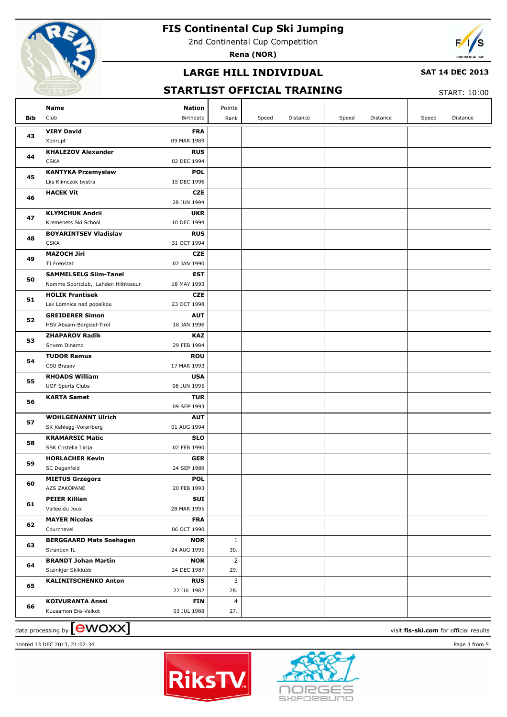

2nd Continental Cup Competition

**Rena (NOR)**



## **LARGE HILL INDIVIDUAL**

#### **SAT 14 DEC 2013**

### **STARTLIST OFFICIAL TRAINING**

START: 10:00

|     | Name<br><b>Nation</b>                                | Points                       |       |          |       |          |       |          |
|-----|------------------------------------------------------|------------------------------|-------|----------|-------|----------|-------|----------|
| Bib | Club<br>Birthdate                                    | Rank                         | Speed | Distance | Speed | Distance | Speed | Distance |
|     | <b>VIRY David</b>                                    | <b>FRA</b>                   |       |          |       |          |       |          |
| 43  | 09 MAR 1989<br>Xonrupt                               |                              |       |          |       |          |       |          |
|     | <b>KHALEZOV Alexander</b>                            | <b>RUS</b>                   |       |          |       |          |       |          |
| 44  | <b>CSKA</b><br>02 DEC 1994                           |                              |       |          |       |          |       |          |
| 45  | <b>KANTYKA Przemyslaw</b>                            | <b>POL</b>                   |       |          |       |          |       |          |
|     | Lks Klimczok bystra<br>15 DEC 1996                   |                              |       |          |       |          |       |          |
| 46  | <b>HACEK Vit</b>                                     | <b>CZE</b>                   |       |          |       |          |       |          |
|     | 28 JUN 1994                                          |                              |       |          |       |          |       |          |
| 47  | <b>KLYMCHUK Andrii</b>                               | <b>UKR</b>                   |       |          |       |          |       |          |
|     | Kremenets Ski School<br>10 DEC 1994                  |                              |       |          |       |          |       |          |
| 48  | <b>BOYARINTSEV Vladislav</b>                         | <b>RUS</b>                   |       |          |       |          |       |          |
|     | <b>CSKA</b><br>31 OCT 1994                           |                              |       |          |       |          |       |          |
| 49  | <b>MAZOCH Jiri</b>                                   | <b>CZE</b>                   |       |          |       |          |       |          |
|     | TJ Frenstat<br>02 JAN 1990                           |                              |       |          |       |          |       |          |
| 50  | <b>SAMMELSELG Siim-Tanel</b>                         | <b>EST</b>                   |       |          |       |          |       |          |
|     | Nomme Sportclub, Lahden Hiihtoseur<br>18 MAY 1993    |                              |       |          |       |          |       |          |
| 51  | <b>HOLIK Frantisek</b>                               | <b>CZE</b>                   |       |          |       |          |       |          |
|     | Lsk Lomnice nad popelkou<br>23 OCT 1998              |                              |       |          |       |          |       |          |
| 52  | <b>GREIDERER Simon</b>                               | <b>AUT</b>                   |       |          |       |          |       |          |
|     | 18 JAN 1996<br>HSV Absam-Bergisel-Tirol              |                              |       |          |       |          |       |          |
| 53  | <b>ZHAPAROV Radik</b><br>29 FEB 1984<br>Shvsm Dinamo | <b>KAZ</b>                   |       |          |       |          |       |          |
|     | <b>TUDOR Remus</b>                                   | <b>ROU</b>                   |       |          |       |          |       |          |
| 54  | CSU Brasov<br>17 MAR 1993                            |                              |       |          |       |          |       |          |
| 55  | <b>RHOADS William</b>                                | <b>USA</b>                   |       |          |       |          |       |          |
|     | <b>UOP Sports Clubs</b><br>08 JUN 1995               |                              |       |          |       |          |       |          |
|     | <b>KARTA Samet</b>                                   | <b>TUR</b>                   |       |          |       |          |       |          |
| 56  | 09 SEP 1993                                          |                              |       |          |       |          |       |          |
|     | <b>WOHLGENANNT Ulrich</b>                            | <b>AUT</b>                   |       |          |       |          |       |          |
| 57  | 01 AUG 1994<br>SK Kehlegg-Vorarlberg                 |                              |       |          |       |          |       |          |
|     | <b>KRAMARSIC Matic</b>                               | <b>SLO</b>                   |       |          |       |          |       |          |
| 58  | 02 FEB 1990<br>SSK Costella Ilirija                  |                              |       |          |       |          |       |          |
|     | <b>HORLACHER Kevin</b>                               | <b>GER</b>                   |       |          |       |          |       |          |
| 59  | 24 SEP 1989<br>SC Degenfeld                          |                              |       |          |       |          |       |          |
| 60  | <b>MIETUS Grzegorz</b>                               | <b>POL</b>                   |       |          |       |          |       |          |
|     | AZS ZAKOPANE<br>20 FEB 1993                          |                              |       |          |       |          |       |          |
| 61  | <b>PEIER Killian</b>                                 | SUI                          |       |          |       |          |       |          |
|     | Vallee du Joux<br>28 MAR 1995                        |                              |       |          |       |          |       |          |
| 62  | <b>MAYER Nicolas</b>                                 | <b>FRA</b>                   |       |          |       |          |       |          |
|     | Courchevel<br>06 OCT 1990                            |                              |       |          |       |          |       |          |
| 63  | <b>BERGGAARD Mats Soehagen</b>                       | $\mathbf{1}$<br><b>NOR</b>   |       |          |       |          |       |          |
|     | 24 AUG 1995<br>Stranden IL                           | 30.                          |       |          |       |          |       |          |
| 64  | <b>BRANDT Johan Martin</b>                           | $\overline{2}$<br><b>NOR</b> |       |          |       |          |       |          |
|     | 24 DEC 1987<br>Steinkjer Skiklubb                    | 29.                          |       |          |       |          |       |          |
| 65  | <b>KALINITSCHENKO Anton</b>                          | 3<br><b>RUS</b>              |       |          |       |          |       |          |
|     | 22 JUL 1982                                          | 28.                          |       |          |       |          |       |          |
| 66  | <b>KOIVURANTA Anssi</b>                              | $\overline{4}$<br><b>FIN</b> |       |          |       |          |       |          |
|     | Kuusamon Erä-Veikot<br>03 JUL 1988                   | 27.                          |       |          |       |          |       |          |

data processing by **CWOXX** and  $\overline{C}$  and  $\overline{C}$  and  $\overline{C}$  and  $\overline{C}$  and  $\overline{C}$  and  $\overline{C}$  and  $\overline{C}$  and  $\overline{C}$  and  $\overline{C}$  and  $\overline{C}$  and  $\overline{C}$  and  $\overline{C}$  and  $\overline{C}$  and  $\overline{C}$  and  $\overline{C}$ 



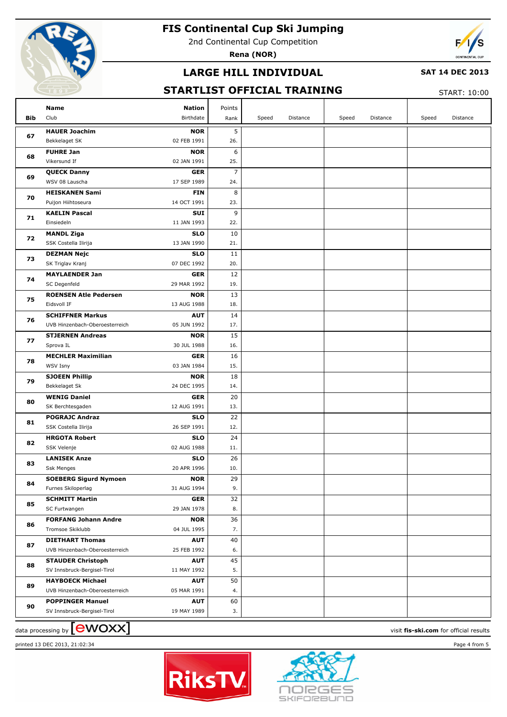

2nd Continental Cup Competition

**Rena (NOR)**



## **LARGE HILL INDIVIDUAL**

#### **SAT 14 DEC 2013**

## **STARTLIST OFFICIAL TRAINING**

START: 10:00

|            | Name                                          | Nation                    | Points         |       |          |       |          |       |          |
|------------|-----------------------------------------------|---------------------------|----------------|-------|----------|-------|----------|-------|----------|
| <b>Bib</b> | Club                                          | Birthdate                 | Rank           | Speed | Distance | Speed | Distance | Speed | Distance |
|            | <b>HAUER Joachim</b>                          | <b>NOR</b>                | 5              |       |          |       |          |       |          |
| 67         | Bekkelaget SK                                 | 02 FEB 1991               | 26.            |       |          |       |          |       |          |
| 68         | <b>FUHRE Jan</b>                              | <b>NOR</b>                | 6              |       |          |       |          |       |          |
|            | Vikersund If                                  | 02 JAN 1991               | 25.            |       |          |       |          |       |          |
|            | <b>QUECK Danny</b>                            | <b>GER</b>                | $\overline{7}$ |       |          |       |          |       |          |
| 69         | WSV 08 Lauscha                                | 17 SEP 1989               | 24.            |       |          |       |          |       |          |
|            | <b>HEISKANEN Sami</b>                         | <b>FIN</b>                | 8              |       |          |       |          |       |          |
| 70         | Puijon Hiihtoseura                            | 14 OCT 1991               | 23.            |       |          |       |          |       |          |
|            | <b>KAELIN Pascal</b>                          | SUI                       | 9              |       |          |       |          |       |          |
| 71         | Einsiedeln                                    | 11 JAN 1993               | 22.            |       |          |       |          |       |          |
| 72         | <b>MANDL Ziga</b>                             | <b>SLO</b>                | 10             |       |          |       |          |       |          |
|            | SSK Costella Ilirija                          | 13 JAN 1990               | 21.            |       |          |       |          |       |          |
| 73         | <b>DEZMAN Nejc</b>                            | <b>SLO</b>                | 11             |       |          |       |          |       |          |
|            | SK Triglav Kranj                              | 07 DEC 1992               | 20.            |       |          |       |          |       |          |
| 74         | <b>MAYLAENDER Jan</b>                         | <b>GER</b>                | 12             |       |          |       |          |       |          |
|            | SC Degenfeld                                  | 29 MAR 1992               | 19.            |       |          |       |          |       |          |
| 75         | <b>ROENSEN Atle Pedersen</b>                  | <b>NOR</b>                | 13             |       |          |       |          |       |          |
|            | Eidsvoll IF                                   | 13 AUG 1988               | 18.            |       |          |       |          |       |          |
| 76         | <b>SCHIFFNER Markus</b>                       | <b>AUT</b>                | 14             |       |          |       |          |       |          |
|            | UVB Hinzenbach-Oberoesterreich                | 05 JUN 1992               | 17.            |       |          |       |          |       |          |
| 77         | <b>STJERNEN Andreas</b>                       | <b>NOR</b>                | 15             |       |          |       |          |       |          |
|            | Sprova IL                                     | 30 JUL 1988               | 16.            |       |          |       |          |       |          |
| 78         | <b>MECHLER Maximilian</b>                     | <b>GER</b>                | 16             |       |          |       |          |       |          |
|            | WSV Isny                                      | 03 JAN 1984               | 15.            |       |          |       |          |       |          |
| 79         | <b>SJOEEN Phillip</b>                         | <b>NOR</b>                | 18             |       |          |       |          |       |          |
|            | Bekkelaget Sk                                 | 24 DEC 1995               | 14.            |       |          |       |          |       |          |
| 80         | <b>WENIG Daniel</b>                           | <b>GER</b>                | 20             |       |          |       |          |       |          |
|            | SK Berchtesgaden                              | 12 AUG 1991               | 13.<br>22      |       |          |       |          |       |          |
| 81         | <b>POGRAJC Andraz</b><br>SSK Costella Ilirija | <b>SLO</b><br>26 SEP 1991 | 12.            |       |          |       |          |       |          |
|            | <b>HRGOTA Robert</b>                          | <b>SLO</b>                | 24             |       |          |       |          |       |          |
| 82         | SSK Velenje                                   | 02 AUG 1988               | 11.            |       |          |       |          |       |          |
|            | <b>LANISEK Anze</b>                           | <b>SLO</b>                | 26             |       |          |       |          |       |          |
| 83         | <b>Ssk Menges</b>                             | 20 APR 1996               | 10.            |       |          |       |          |       |          |
|            | <b>SOEBERG Sigurd Nymoen</b>                  | <b>NOR</b>                | 29             |       |          |       |          |       |          |
| 84         | Furnes Skiloperlag                            | 31 AUG 1994               | 9.             |       |          |       |          |       |          |
|            | <b>SCHMITT Martin</b>                         | <b>GER</b>                | 32             |       |          |       |          |       |          |
| 85         | SC Furtwangen                                 | 29 JAN 1978               | 8.             |       |          |       |          |       |          |
|            | <b>FORFANG Johann Andre</b>                   | <b>NOR</b>                | 36             |       |          |       |          |       |          |
| 86         | Tromsoe Skiklubb                              | 04 JUL 1995               | 7.             |       |          |       |          |       |          |
|            | <b>DIETHART Thomas</b>                        | <b>AUT</b>                | 40             |       |          |       |          |       |          |
| 87         | UVB Hinzenbach-Oberoesterreich                | 25 FEB 1992               | 6.             |       |          |       |          |       |          |
|            | <b>STAUDER Christoph</b>                      | <b>AUT</b>                | 45             |       |          |       |          |       |          |
| 88         | SV Innsbruck-Bergisel-Tirol                   | 11 MAY 1992               | 5.             |       |          |       |          |       |          |
| 89         | <b>HAYBOECK Michael</b>                       | AUT                       | 50             |       |          |       |          |       |          |
|            | UVB Hinzenbach-Oberoesterreich                | 05 MAR 1991               | 4.             |       |          |       |          |       |          |
| 90         | <b>POPPINGER Manuel</b>                       | <b>AUT</b>                | 60             |       |          |       |          |       |          |
|            | SV Innsbruck-Bergisel-Tirol                   | 19 MAY 1989               | 3.             |       |          |       |          |       |          |

data processing by **CWOXX** and  $\overline{C}$  and  $\overline{C}$  and  $\overline{C}$  and  $\overline{C}$  and  $\overline{C}$  and  $\overline{C}$  and  $\overline{C}$  and  $\overline{C}$  and  $\overline{C}$  and  $\overline{C}$  and  $\overline{C}$  and  $\overline{C}$  and  $\overline{C}$  and  $\overline{C}$  and  $\overline{C}$